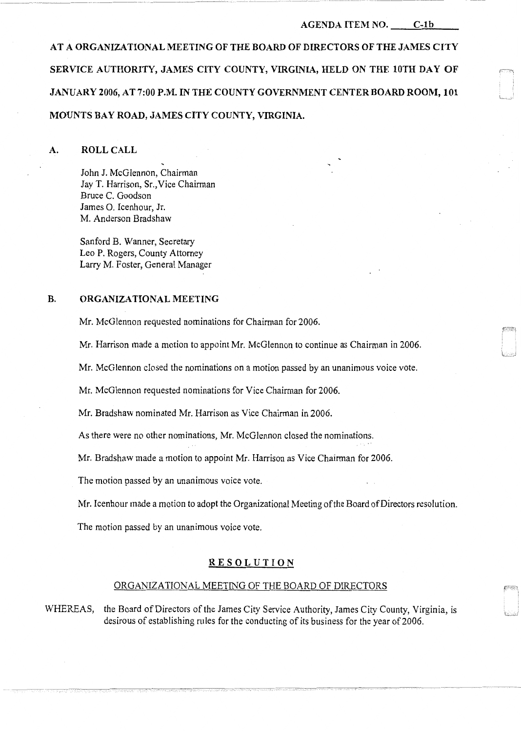#### AGENDA ITEM NO. C-1b

AT A ORGANIZATIONAL MEETING OF THE BOARD OF DIRECTORS OF THE JAMES CITY SERVICE AUTHORITY, JAMES CITY COUNTY, VIRGINIA, HELD ON THE 10TH DAY OF JANUARY 2006, AT 7:00 P.M. IN THE COUNTY GOVERNMENT CENTER BOARD ROOM, 101 MOUNTS BAY ROAD, JAMES CITY COUNTY, VIRGINIA.

A. ROLL CALL

John J. McGiennon, Chairman Jay T. Harrison, Sr., Vice Chairman Bruce C. Goodson James 0. Icenhour, Jr. M. Anderson Bradshaw

Sanford B. Wanner, Secretary Leo P. Rogers, County Attorney Larry M. Foster, General Manager

## B. ORGANIZATIONAL MEETING

Mr. McGlennon requested nominations for Chairman for 2006.

Mr. Harrison made a motion to appoint Mr. McGlennon to continue as Chairman in 2006.

Mr. McGlennon closed the nominations on a motion passed by an unanimous voice vote.

Mr. McGlennon requested nominations for Vice Chairman for 2006.

Mr. Bradshaw nominated Mr. Harrison as Vice Chairman in 2006.

As there were no other nominations, Mr. McGJennon closed the nominations.

Mr. Bradshaw made a motion to appoint Mr. Harrison as Vice Chairman for 2006.

The motion passed by an unanimous voice vote.

Mr. Icenhour made a motion to adopt the Organizational Meeting of the Board of Directors resolution.

The motion passed by an unanimous voice vote.

### RESOLUTION

# ORGANIZATIONAL MEETING OF THE BOARD OF DIRECTORS

WHEREAS, the Board of Directors of the James City Service Authority, James City County, Virginia, is desirous of establishing rules for the conducting of its business for the year of 2006.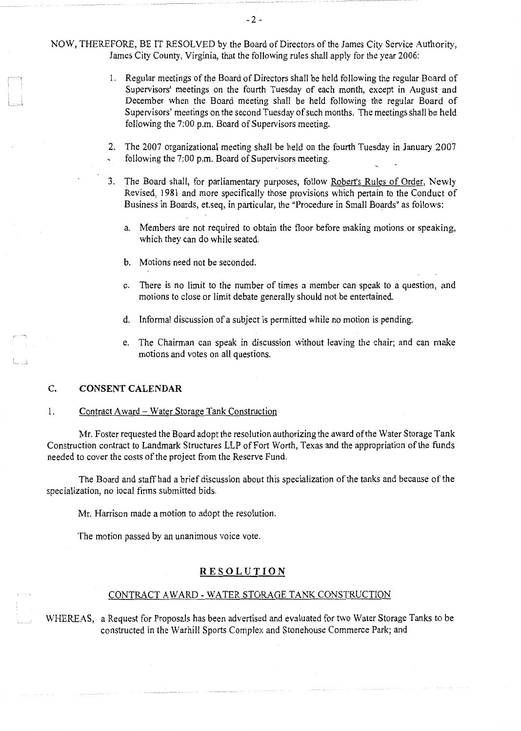NOW, THEREFORE, BE IT RESOLVED by the Board of Directors of the James City Service Authority, James City County, Virginia, that the following rules shall apply for the year 2006:

- 1. Regular meetings of the Board of Directors shall be held following the regular Board of Supervisors' meetings on the fourth Tuesday of each month, except in August and December when the Board meeting shall be held following the regular Board of Supervisors' meetings on the second Tuesday of such months. The meetings shall be held following the 7:00 p.m. Board of Supervisors meeting.
- 2. The 2007 organizational meeting shall be held on the fourth Tuesday in January 2007 following the 7:00 p.m. Board of Supervisors meeting.
- 3. The Board shall, for parliamentary purposes, follow Robert's Rules of Order, Newly Revised, 1981 and more specifically those provisions which pertain to the Conduct of Business in Boards, et.seq, in particular, the "Procedure in Small Boards" as follows:
	- a. Members are not required to obtain the floor before making motions or speaking, which they can do while seated.
	- b. Motions need not be seconded.
	- c. There is no limit to the number of times a member can speak to a question, and motions to close or limit debate generally should not be entertained.
	- d. Informal discussion of a subject is permitted while no motion is pending.
	- e. The Chairman can speak in discussion without leaving the chair; and can make motions and votes on all questions.

#### **C. CONSENT CALENDAR**

## 1. Contract Award - Water Storage Tank Construction

Mr. Foster requested the Board adopt the resolution authorizing the award of the Water Storage Tank Construction contract to Landmark Structures LLP of Fort Worth, Texas and the appropriation of the funds needed to cover the costs of the project from the Reserve Fund.

The Board and staff had a brief discussion about this specialization of the tanks and because of the specialization, no local firms submitted bids.

Mr. Harrison made a motion to adopt the resolution.

The motion passed by an unanimous voice vote.

### **RESOLUTION**

#### CONTRACT A WARD - WATER STORAGE TANK CONSTRUCTION

WHEREAS, a Request for Proposals has been advertised and evaluated for two Water Storage Tanks to be constructed in the Warhill Sports Complex and Stonehouse Commerce Park; and